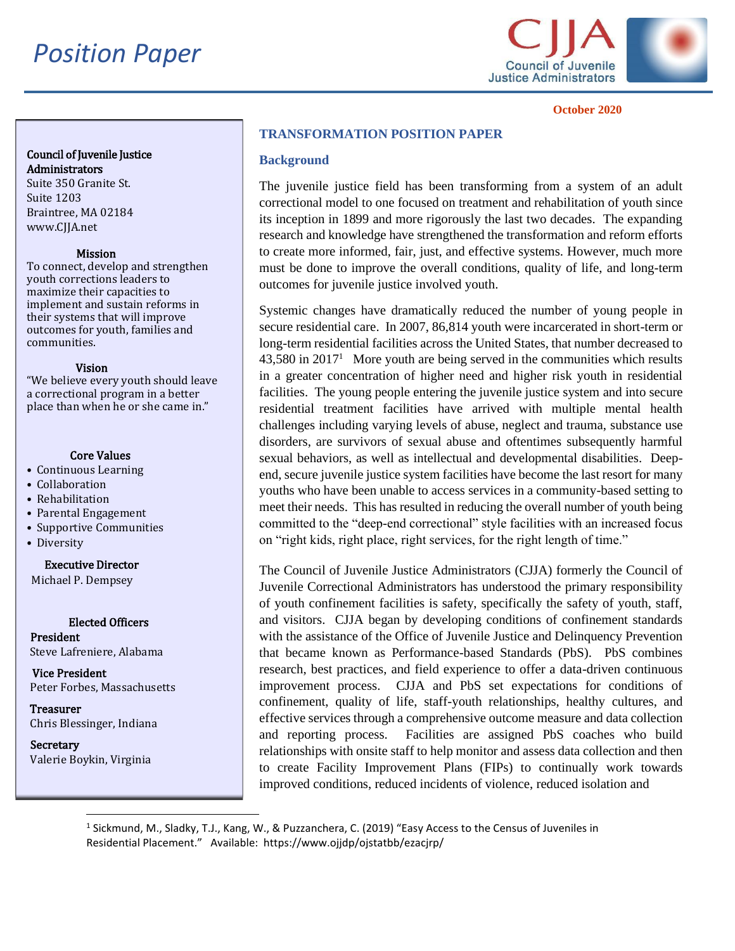

**October 2020**

# Council of Juvenile Justice

Administrators Suite 350 Granite St. Suite 1203 Braintree, MA 02184 [www.CJJA.net](http://www.cjca.net/)

#### Mission

To connect, develop and strengthen youth corrections leaders to maximize their capacities to implement and sustain reforms in their systems that will improve outcomes for youth, families and communities.

#### Vision

"We believe every youth should leave a correctional program in a better place than when he or she came in."

## Core Values

#### • Continuous Learning

- Collaboration
- Rehabilitation
- Parental Engagement
- Supportive Communities
- Diversity

#### Executive Director

Michael P. Dempsey

#### Elected Officers

President Steve Lafreniere, Alabama

Vice President Peter Forbes, Massachusetts

**Treasurer** Chris Blessinger, Indiana

**Secretary** Valerie Boykin, Virginia

## **TRANSFORMATION POSITION PAPER**

# **Background**

The juvenile justice field has been transforming from a system of an adult correctional model to one focused on treatment and rehabilitation of youth since its inception in 1899 and more rigorously the last two decades. The expanding research and knowledge have strengthened the transformation and reform efforts to create more informed, fair, just, and effective systems. However, much more must be done to improve the overall conditions, quality of life, and long-term outcomes for juvenile justice involved youth.

Systemic changes have dramatically reduced the number of young people in secure residential care. In 2007, 86,814 youth were incarcerated in short-term or long-term residential facilities across the United States, that number decreased to  $43,580$  in  $2017<sup>1</sup>$  More youth are being served in the communities which results in a greater concentration of higher need and higher risk youth in residential facilities. The young people entering the juvenile justice system and into secure residential treatment facilities have arrived with multiple mental health challenges including varying levels of abuse, neglect and trauma, substance use disorders, are survivors of sexual abuse and oftentimes subsequently harmful sexual behaviors, as well as intellectual and developmental disabilities. Deepend, secure juvenile justice system facilities have become the last resort for many youths who have been unable to access services in a community-based setting to meet their needs. This has resulted in reducing the overall number of youth being committed to the "deep-end correctional" style facilities with an increased focus on "right kids, right place, right services, for the right length of time."

The Council of Juvenile Justice Administrators (CJJA) formerly the Council of Juvenile Correctional Administrators has understood the primary responsibility of youth confinement facilities is safety, specifically the safety of youth, staff, and visitors. CJJA began by developing conditions of confinement standards with the assistance of the Office of Juvenile Justice and Delinquency Prevention that became known as Performance-based Standards (PbS). PbS combines research, best practices, and field experience to offer a data-driven continuous improvement process. CJJA and PbS set expectations for conditions of confinement, quality of life, staff-youth relationships, healthy cultures, and effective services through a comprehensive outcome measure and data collection and reporting process. Facilities are assigned PbS coaches who build relationships with onsite staff to help monitor and assess data collection and then to create Facility Improvement Plans (FIPs) to continually work towards improved conditions, reduced incidents of violence, reduced isolation and

1 Sickmund, M., Sladky, T.J., Kang, W., & Puzzanchera, C. (2019) "Easy Access to the Census of Juveniles in Residential Placement." Available: https://www.ojjdp/ojstatbb/ezacjrp/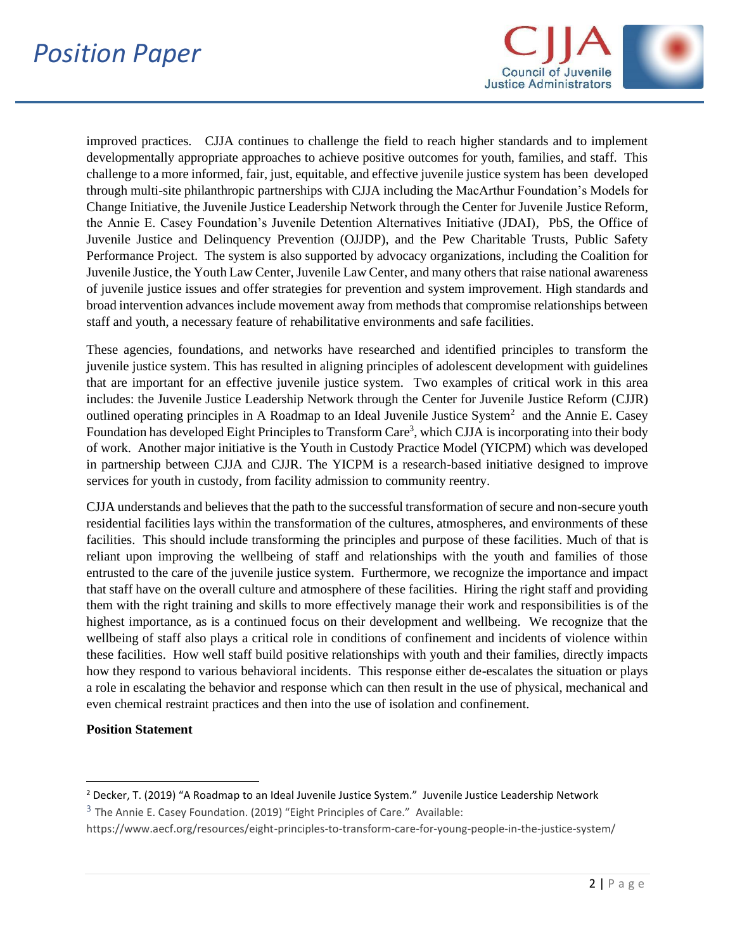

improved practices. CJJA continues to challenge the field to reach higher standards and to implement developmentally appropriate approaches to achieve positive outcomes for youth, families, and staff. This challenge to a more informed, fair, just, equitable, and effective juvenile justice system has been developed through multi-site philanthropic partnerships with CJJA including the MacArthur Foundation's Models for Change Initiative, the Juvenile Justice Leadership Network through the Center for Juvenile Justice Reform, the Annie E. Casey Foundation's Juvenile Detention Alternatives Initiative (JDAI), PbS, the Office of Juvenile Justice and Delinquency Prevention (OJJDP), and the Pew Charitable Trusts, Public Safety Performance Project. The system is also supported by advocacy organizations, including the Coalition for Juvenile Justice, the Youth Law Center, Juvenile Law Center, and many others that raise national awareness of juvenile justice issues and offer strategies for prevention and system improvement. High standards and broad intervention advances include movement away from methods that compromise relationships between staff and youth, a necessary feature of rehabilitative environments and safe facilities.

These agencies, foundations, and networks have researched and identified principles to transform the juvenile justice system. This has resulted in aligning principles of adolescent development with guidelines that are important for an effective juvenile justice system. Two examples of critical work in this area includes: the Juvenile Justice Leadership Network through the Center for Juvenile Justice Reform (CJJR) outlined operating principles in A Roadmap to an Ideal Juvenile Justice System<sup>2</sup> and the Annie E. Casey Foundation has developed Eight Principles to Transform Care<sup>3</sup>, which CJJA is incorporating into their body of work. Another major initiative is the Youth in Custody Practice Model (YICPM) which was developed in partnership between CJJA and CJJR. The YICPM is a research-based initiative designed to improve services for youth in custody, from facility admission to community reentry.

CJJA understands and believes that the path to the successful transformation of secure and non-secure youth residential facilities lays within the transformation of the cultures, atmospheres, and environments of these facilities. This should include transforming the principles and purpose of these facilities. Much of that is reliant upon improving the wellbeing of staff and relationships with the youth and families of those entrusted to the care of the juvenile justice system. Furthermore, we recognize the importance and impact that staff have on the overall culture and atmosphere of these facilities. Hiring the right staff and providing them with the right training and skills to more effectively manage their work and responsibilities is of the highest importance, as is a continued focus on their development and wellbeing. We recognize that the wellbeing of staff also plays a critical role in conditions of confinement and incidents of violence within these facilities. How well staff build positive relationships with youth and their families, directly impacts how they respond to various behavioral incidents. This response either de-escalates the situation or plays a role in escalating the behavior and response which can then result in the use of physical, mechanical and even chemical restraint practices and then into the use of isolation and confinement.

# **Position Statement**

 $3$  The Annie E. Casey Foundation. (2019) "Eight Principles of Care." Available:

<sup>&</sup>lt;sup>2</sup> Decker, T. (2019) "A Roadmap to an Ideal Juvenile Justice System." Juvenile Justice Leadership Network

https://www.aecf.org/resources/eight-principles-to-transform-care-for-young-people-in-the-justice-system/